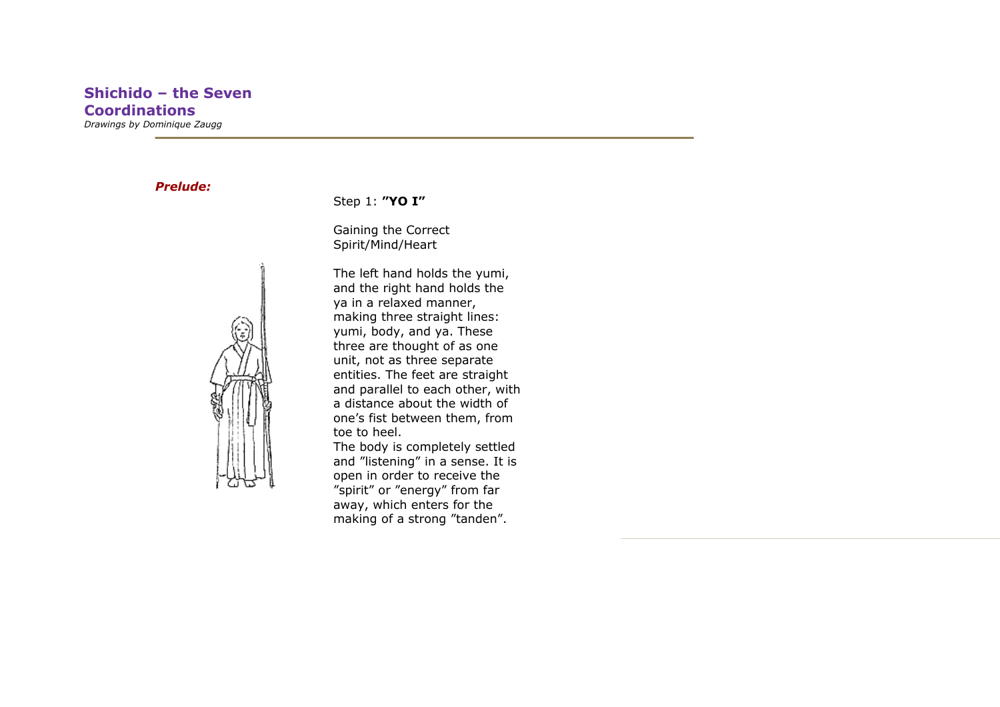# **Shichido – the Seven Coordinations**

*Drawings by Dominique Zaugg*

## *Prelude:*



## Step 1: **"YO I"**

Gaining the Correct Spirit/Mind/Heart

The left hand holds the yumi, and the right hand holds the ya in a relaxed manner, making three straight lines: yumi, body, and ya. These three are thought of as one unit, not as three separate entities. The feet are straight and parallel to each other, with a distance about the width of one's fist between them, from toe to heel. The body is completely settled and "listening" in a sense. It is open in order to receive the "spirit" or "energy" from far away, which enters for the

making of a strong "tanden".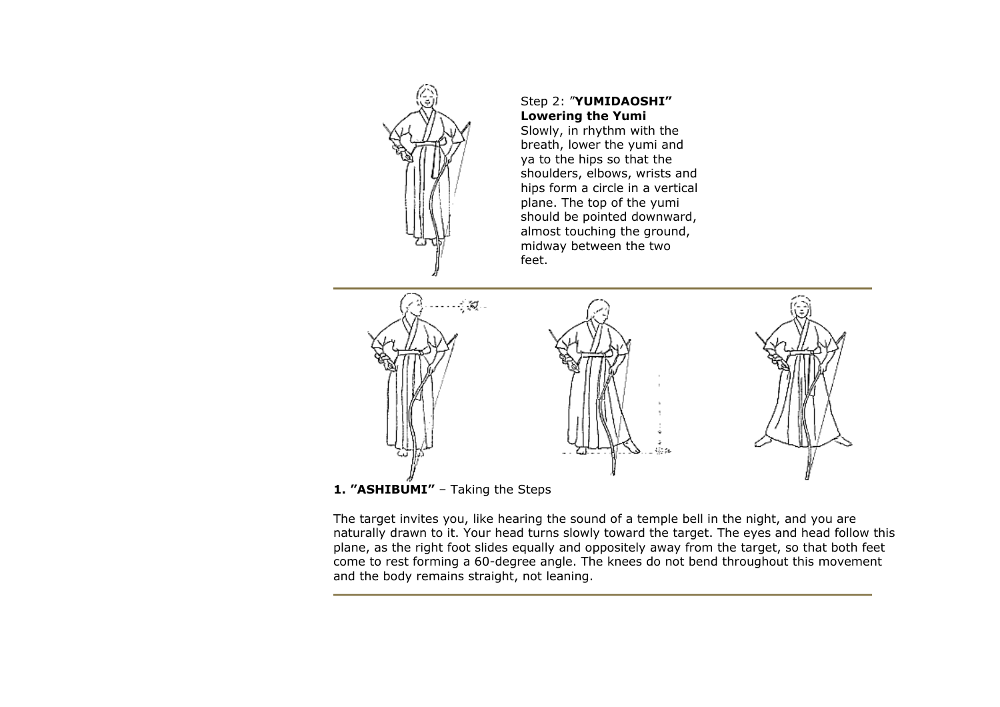

Step 2: "**YUMIDAOSHI" Lowering the Yumi** 

Slowly, in rhythm with the breath, lower the yumi and ya to the hips so that the shoulders, elbows, wrists and hips form a circle in a vertical plane. The top of the yumi should be pointed downward, almost touching the ground, midway between the two feet.



The target invites you, like hearing the sound of a temple bell in the night, and you are naturally drawn to it. Your head turns slowly toward the target. The eyes and head follow this plane, as the right foot slides equally and oppositely away from the target, so that both feet come to rest forming a 60-degree angle. The knees do not bend throughout this movement and the body remains straight, not leaning.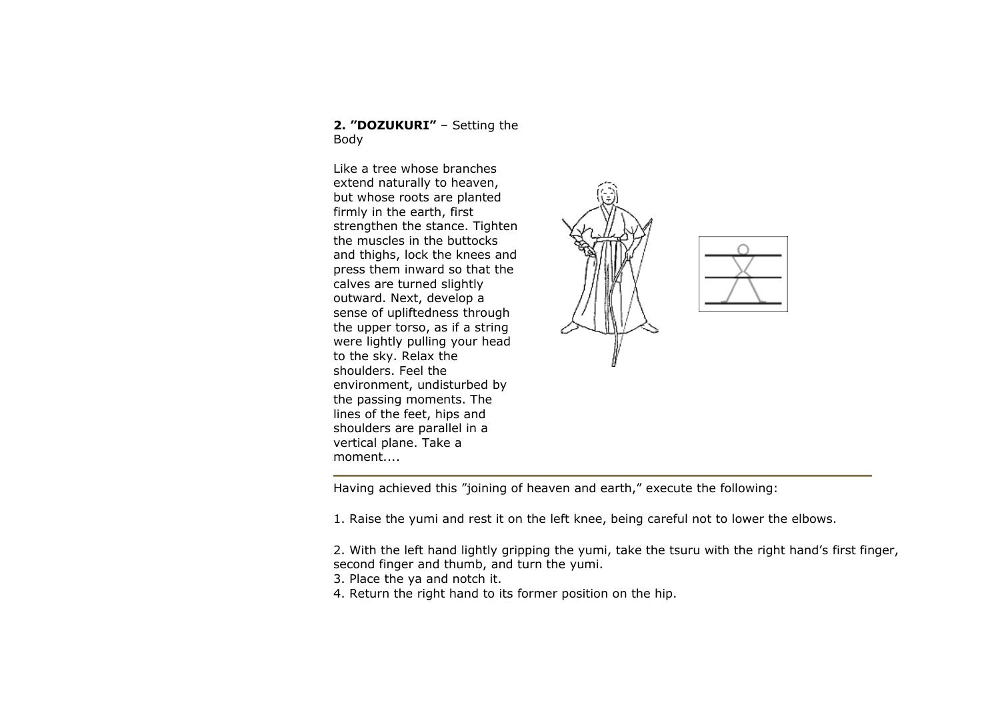### **2. "DOZUKURI"** – Setting the Body

Like a tree whose branches extend naturally to heaven, but whose roots are planted firmly in the earth, first strengthen the stance. Tighten the muscles in the buttocks and thighs, lock the knees and press them inward so that the calves are turned slightly outward. Next, develop a sense of upliftedness through the upper torso, as if a string were lightly pulling your head to the sky. Relax the shoulders. Feel the environment, undisturbed by the passing moments. The lines of the feet, hips and shoulders are parallel in a vertical plane. Take a moment....



Having achieved this "joining of heaven and earth," execute the following:

1. Raise the yumi and rest it on the left knee, being careful not to lower the elbows.

2. With the left hand lightly gripping the yumi, take the tsuru with the right hand's first finger, second finger and thumb, and turn the yumi.

3. Place the ya and notch it.

4. Return the right hand to its former position on the hip.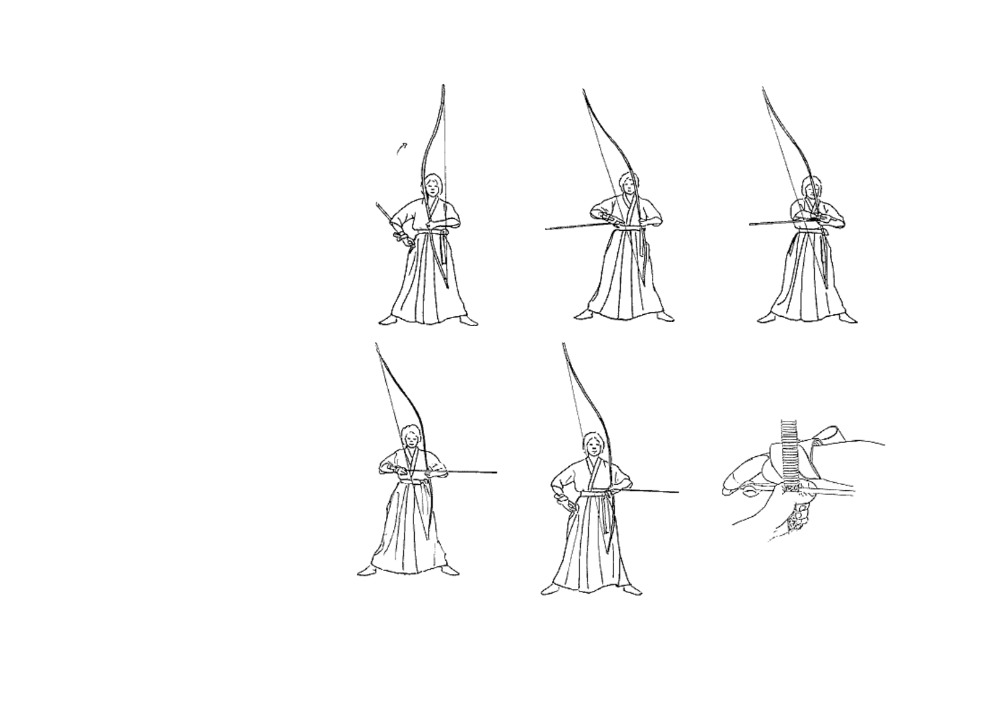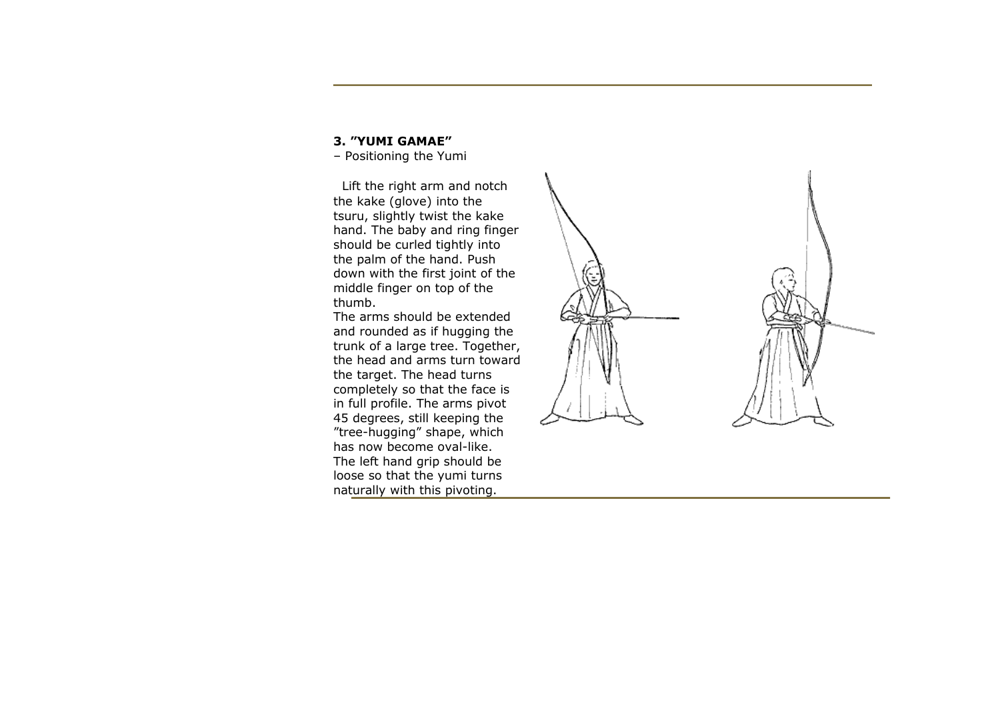## **3. "YUMI GAMAE"**

– Positioning the Yumi

 Lift the right arm and notch the kake (glove) into the tsuru, slightly twist the kake hand. The baby and ring finger should be curled tightly into the palm of the hand. Push down with the first joint of the middle finger on top of the thumb.

The arms should be extended and rounded as if hugging the trunk of a large tree. Together, the head and arms turn toward the target. The head turns completely so that the face is in full profile. The arms pivot 45 degrees, still keeping the "tree-hugging" shape, which has now become oval-like. The left hand grip should be loose so that the yumi turns naturally with this pivoting.

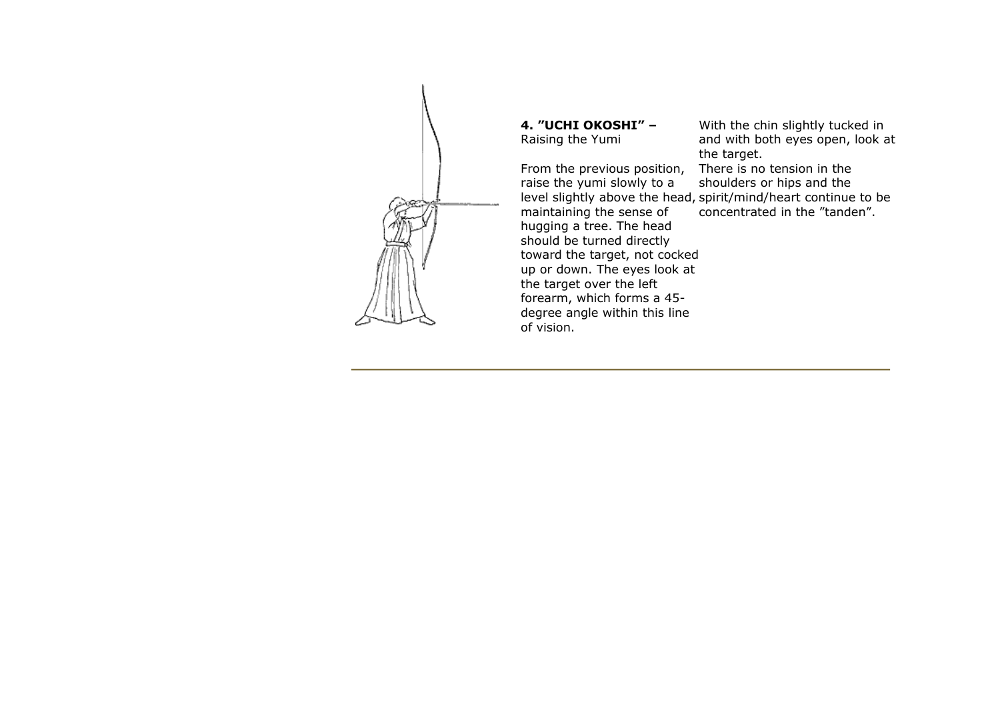

**4. "UCHI OKOSHI" –**  Raising the Yumi

From the previous position, raise the yumi slowly to a maintaining the sense of hugging a tree. The head should be turned directly toward the target, not cocked up or down. The eyes look at the target over the left forearm, which forms a 45 degree angle within this line of vision.

With the chin slightly tucked in and with both eyes open, look at the target.

level slightly above the head, spirit/mind/heart continue to be There is no tension in the shoulders or hips and the concentrated in the "tanden".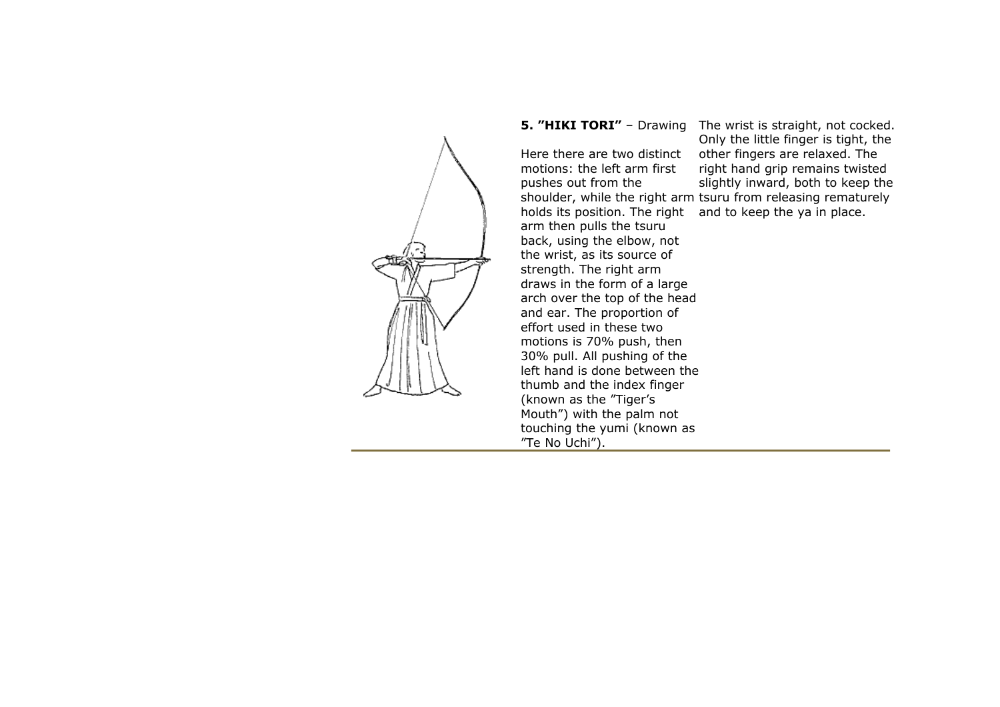

Here there are two distinct motions: the left arm first pushes out from the holds its position. The right and to keep the ya in place. arm then pulls the tsuru back, using the elbow, not the wrist, as its source of strength. The right arm draws in the form of a large arch over the top of the head and ear. The proportion of effort used in these two motions is 70% push, then 30% pull. All pushing of the left hand is done between the thumb and the index finger (known as the "Tiger's Mouth") with the palm not touching the yumi (known as "Te No Uchi").

**5. "HIKI TORI"** - Drawing The wrist is straight, not cocked. shoulder, while the right arm tsuru from releasing rematurely Only the little finger is tight, the other fingers are relaxed. The right hand grip remains twisted slightly inward, both to keep the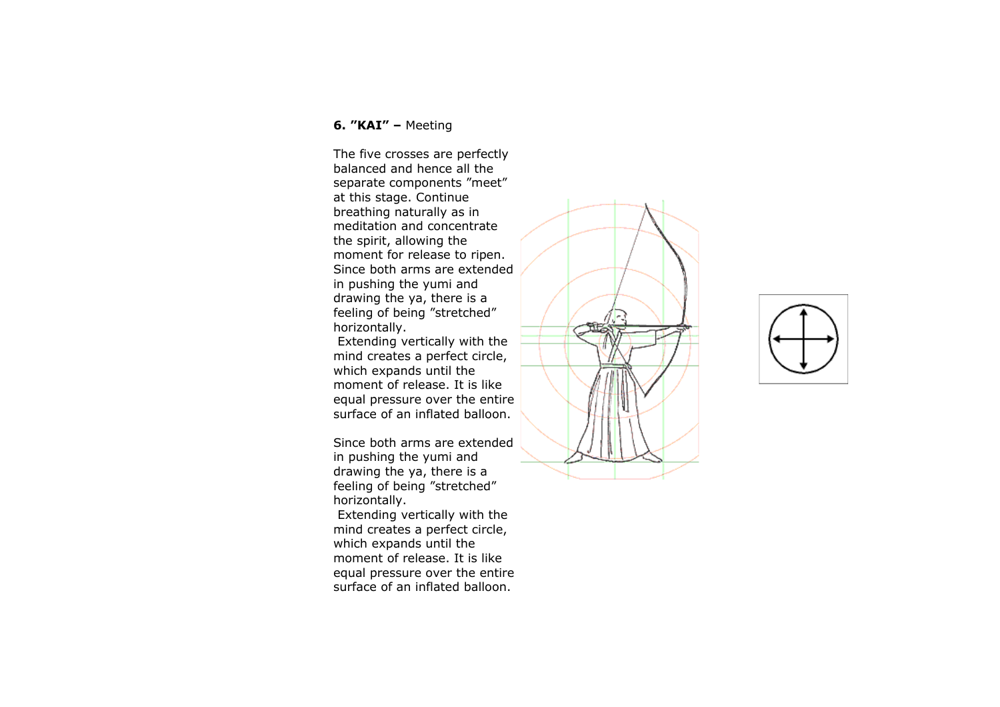#### **6. "KAI" –** Meeting

The five crosses are perfectly balanced and hence all the separate components "meet" at this stage. Continue breathing naturally as in meditation and concentrate the spirit, allowing the moment for release to ripen. Since both arms are extended in pushing the yumi and drawing the ya, there is a feeling of being "stretched" horizontally.

Extending vertically with the mind creates a perfect circle, which expands until the moment of release. It is like equal pressure over the entire surface of an inflated balloon.

Since both arms are extended in pushing the yumi and drawing the ya, there is a feeling of being "stretched" horizontally.

Extending vertically with the mind creates a perfect circle, which expands until the moment of release. It is like equal pressure over the entire surface of an inflated balloon.